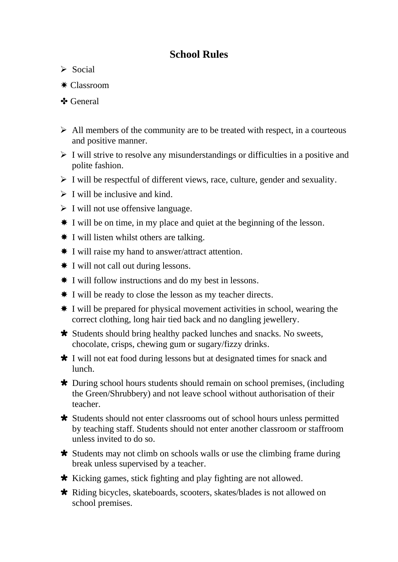## **School Rules**

- $\triangleright$  Social
- ✷ Classroom
- ✤ General
- $\triangleright$  All members of the community are to be treated with respect, in a courteous and positive manner.
- $\triangleright$  I will strive to resolve any misunderstandings or difficulties in a positive and polite fashion.
- $\triangleright$  I will be respectful of different views, race, culture, gender and sexuality.
- $\triangleright$  I will be inclusive and kind.
- $\triangleright$  I will not use offensive language.
- I will be on time, in my place and quiet at the beginning of the lesson.
- $\textbf{\textsterling}$  I will listen whilst others are talking.
- I will raise my hand to answer/attract attention.
- $\text{\textsterling}$  I will not call out during lessons.
- I will follow instructions and do my best in lessons.
- I will be ready to close the lesson as my teacher directs.
- I will be prepared for physical movement activities in school, wearing the correct clothing, long hair tied back and no dangling jewellery.
- Students should bring healthy packed lunches and snacks. No sweets, chocolate, crisps, chewing gum or sugary/fizzy drinks.
- I will not eat food during lessons but at designated times for snack and lunch.
- During school hours students should remain on school premises, (including the Green/Shrubbery) and not leave school without authorisation of their teacher.
- Students should not enter classrooms out of school hours unless permitted by teaching staff. Students should not enter another classroom or staffroom unless invited to do so.
- Students may not climb on schools walls or use the climbing frame during break unless supervised by a teacher.
- \* Kicking games, stick fighting and play fighting are not allowed.
- Riding bicycles, skateboards, scooters, skates/blades is not allowed on school premises.